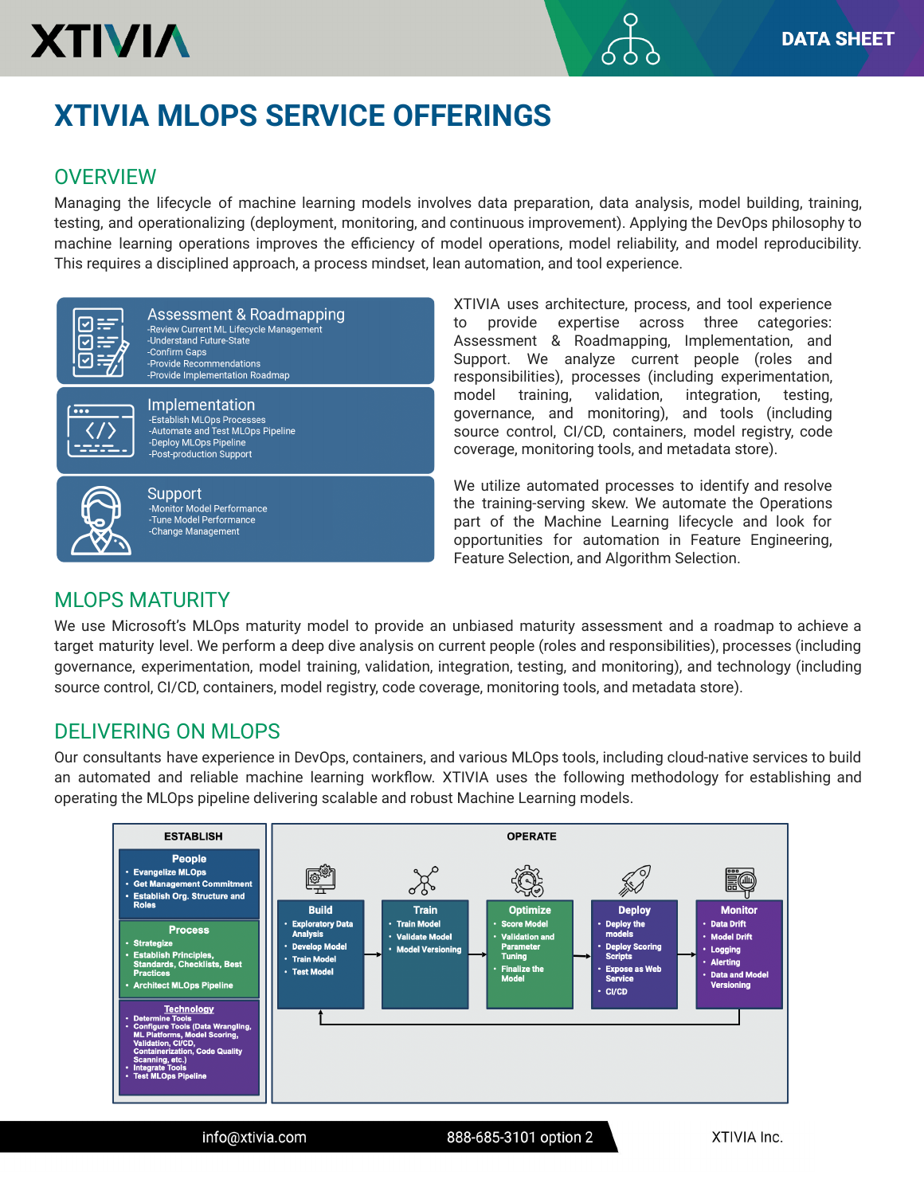## **XTIVIA MLOPS SERVICE OFFERINGS**

#### **OVERVIEW**

**XTIVIA** 

Managing the lifecycle of machine learning models involves data preparation, data analysis, model building, training, testing, and operationalizing (deployment, monitoring, and continuous improvement). Applying the DevOps philosophy to machine learning operations improves the efficiency of model operations, model reliability, and model reproducibility. This requires a disciplined approach, a process mindset, lean automation, and tool experience.



Assessment & Roadmapping -Review Current ML Lifecycle Management -Understand Future-State -Confirm Gaps -Provide Recommendations -Provide Implementation Roadmap



Implementation -Establish MLOps Processes -Automate and Test MLOps Pipeline -Deploy MLOps Pipeline -Post-production Support

info@xtivia.com



Support -Monitor Model Performance -Tune Model Performance -Change Management

XTIVIA uses architecture, process, and tool experience to provide expertise across three categories: Assessment & Roadmapping, Implementation, and Support. We analyze current people (roles and responsibilities), processes (including experimentation, model training, validation, integration, testing, governance, and monitoring), and tools (including source control, CI/CD, containers, model registry, code coverage, monitoring tools, and metadata store).

We utilize automated processes to identify and resolve the training-serving skew. We automate the Operations part of the Machine Learning lifecycle and look for opportunities for automation in Feature Engineering, Feature Selection, and Algorithm Selection.

#### MLOPS MATURITY

We use Microsoft's MLOps maturity model to provide an unbiased maturity assessment and a roadmap to achieve a target maturity level. We perform a deep dive analysis on current people (roles and responsibilities), processes (including governance, experimentation, model training, validation, integration, testing, and monitoring), and technology (including source control, CI/CD, containers, model registry, code coverage, monitoring tools, and metadata store).

#### DELIVERING ON MLOPS

Our consultants have experience in DevOps, containers, and various MLOps tools, including cloud-native services to build an automated and reliable machine learning workflow. XTIVIA uses the following methodology for establishing and operating the MLOps pipeline delivering scalable and robust Machine Learning models.